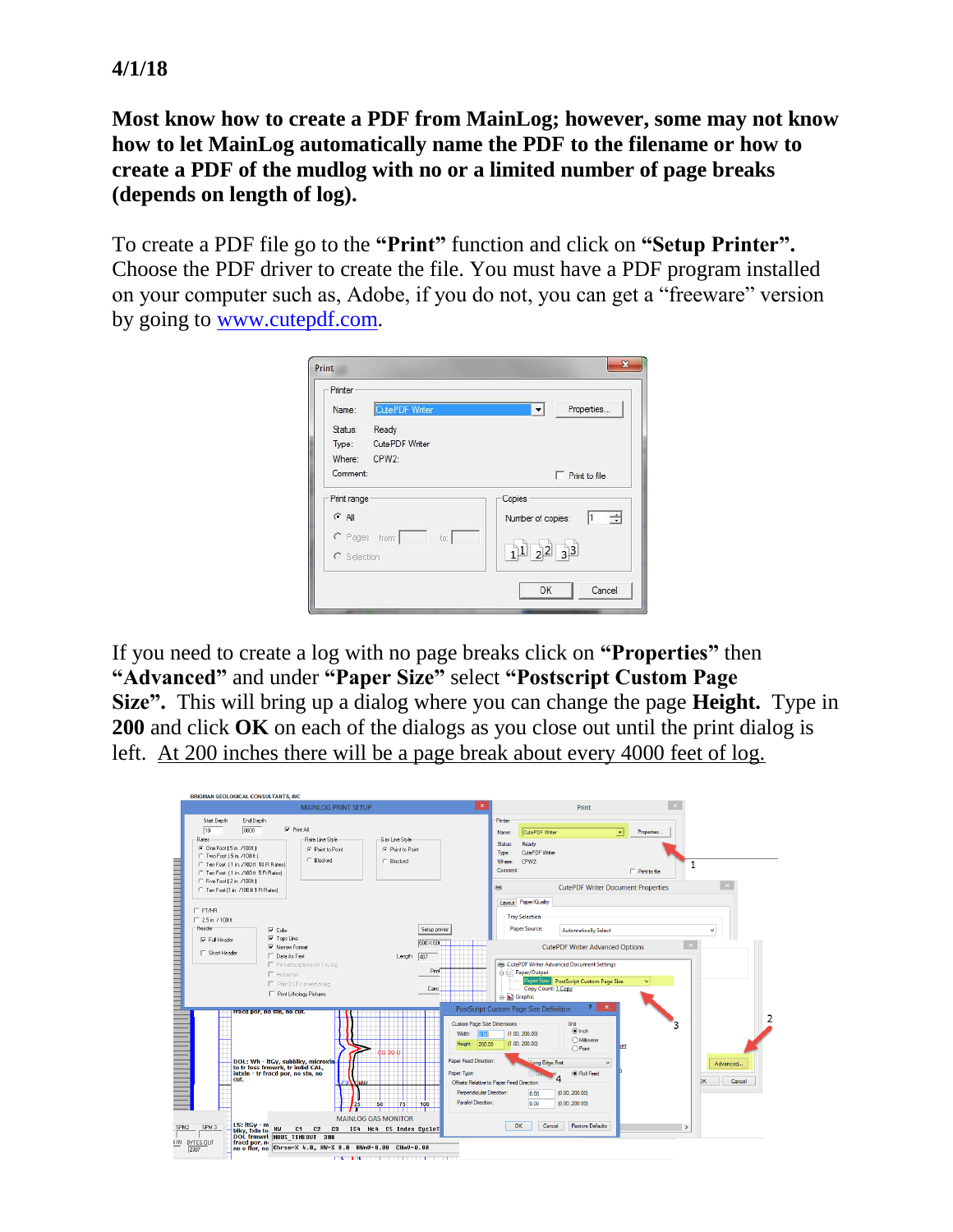**4/1/18**

**Most know how to create a PDF from MainLog; however, some may not know how to let MainLog automatically name the PDF to the filename or how to create a PDF of the mudlog with no or a limited number of page breaks (depends on length of log).**

To create a PDF file go to the **"Print"** function and click on **"Setup Printer".** Choose the PDF driver to create the file. You must have a PDF program installed on your computer such as, Adobe, if you do not, you can get a "freeware" version by going to [www.cutepdf.com.](http://www.cutepdf.com/)

| Printer                    |                                                                  |
|----------------------------|------------------------------------------------------------------|
| CutePDF Writer<br>Name:    | Properties<br>$\vert \cdot \vert$                                |
| Ready<br>Status:           |                                                                  |
| CutePDF Writer<br>Type:    |                                                                  |
| CPW <sub>2</sub><br>Where: |                                                                  |
| Comment:                   | Print to file                                                    |
| Print range                | Copies                                                           |
| $G$ All                    | ÷<br>Number of copies:                                           |
| C Pages from:<br>to:       |                                                                  |
| C Selection                | $\begin{array}{ c c c c }\hline 1&2&2&3&3 \\ \hline \end{array}$ |
|                            |                                                                  |

If you need to create a log with no page breaks click on **"Properties"** then **"Advanced"** and under **"Paper Size"** select **"Postscript Custom Page Size".** This will bring up a dialog where you can change the page **Height.** Type in **200** and click **OK** on each of the dialogs as you close out until the print dialog is left. At 200 inches there will be a page break about every 4000 feet of log.

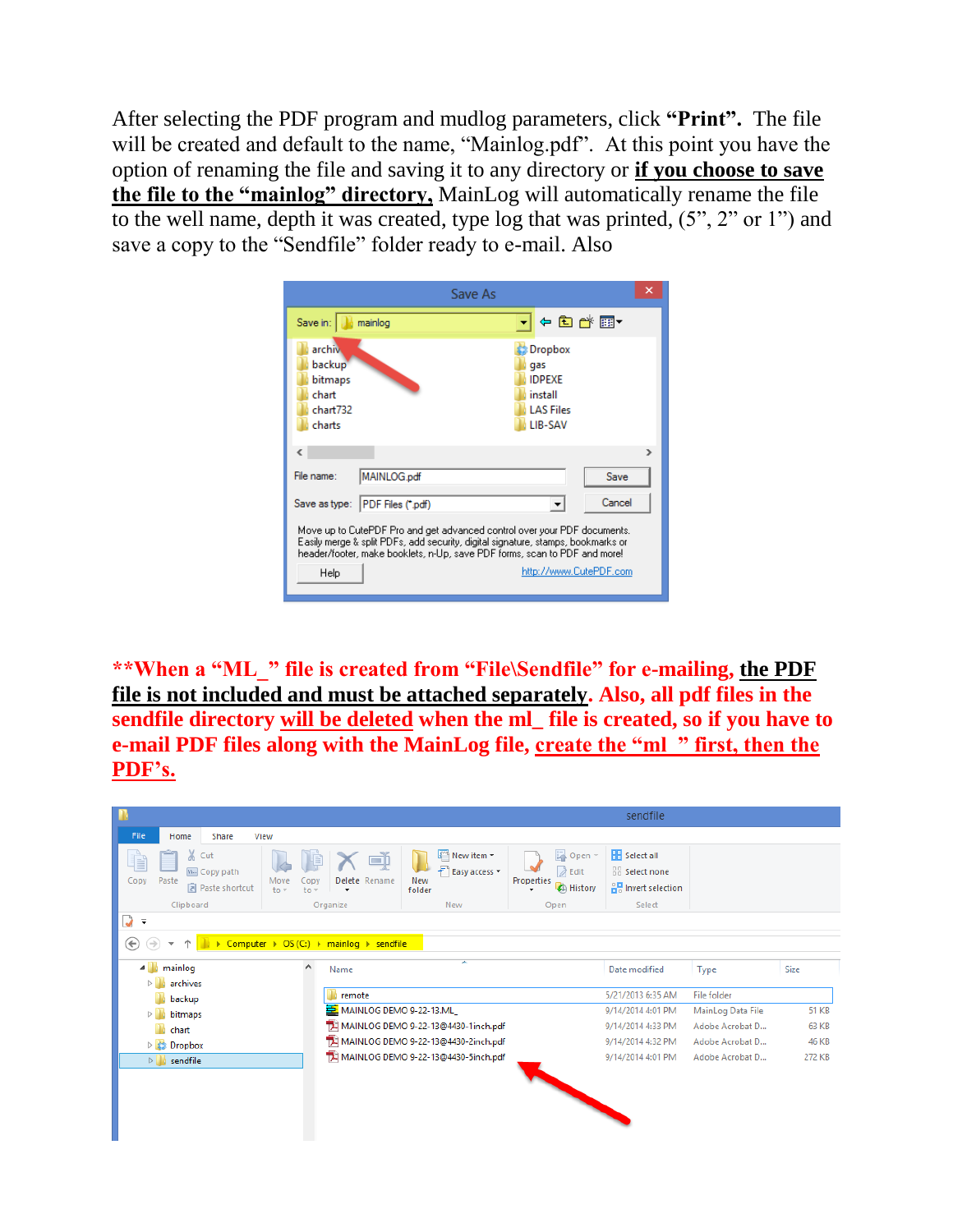After selecting the PDF program and mudlog parameters, click **"Print".** The file will be created and default to the name, "Mainlog.pdf". At this point you have the option of renaming the file and saving it to any directory or **if you choose to save the file to the "mainlog" directory,** MainLog will automatically rename the file to the well name, depth it was created, type log that was printed, (5", 2" or 1") and save a copy to the "Sendfile" folder ready to e-mail. Also



**\*\*When a "ML\_" file is created from "File\Sendfile" for e-mailing, the PDF file is not included and must be attached separately. Also, all pdf files in the sendfile directory will be deleted when the ml\_ file is created, so if you have to e-mail PDF files along with the MainLog file, create the "ml\_" first, then the PDF's.**

| п                                                             |                                                                             |                                                       |                                                                    | sendfile                                                     |                   |              |
|---------------------------------------------------------------|-----------------------------------------------------------------------------|-------------------------------------------------------|--------------------------------------------------------------------|--------------------------------------------------------------|-------------------|--------------|
| File<br><b>Share</b><br>Home<br>View                          |                                                                             |                                                       |                                                                    |                                                              |                   |              |
| & Cut<br>E<br>M. Copy path<br>Paste<br>Copy<br>Paste shortcut | Delete Rename<br>Move<br>OD1<br>$to -$<br>$to -$                            | New item -<br>F Easy access *<br><b>New</b><br>folder | <b>D</b> Open *<br><b>A</b> Edit<br>Properties<br><b>C</b> History | <b>H</b> Select all<br>88 Select none<br>유명 Invert selection |                   |              |
| Clipboard<br>$\overline{\phantom{a}}$                         | Organize                                                                    | New                                                   | Open                                                               | Select                                                       |                   |              |
| V<br>$\leftarrow$                                             | Computer $\rightarrow$ OS (C:) $\rightarrow$ mainlog $\rightarrow$ sendfile |                                                       |                                                                    |                                                              |                   |              |
| mainlog<br>◢                                                  | $\hat{\phantom{a}}$<br>Name                                                 | ≖                                                     |                                                                    | Date modified                                                | Type              | <b>Size</b>  |
| archives<br>backup                                            | remote                                                                      |                                                       |                                                                    | 5/21/2013 6:35 AM                                            | File folder       |              |
| bitmaps<br>D.                                                 | MAINLOG DEMO 9-22-13.ML                                                     |                                                       |                                                                    | 9/14/2014 4:01 PM                                            | MainLog Data File | <b>51 KB</b> |
| chart                                                         |                                                                             | TH MAINLOG DEMO 9-22-13@4430-1inch.pdf                |                                                                    | 9/14/2014 4:33 PM                                            | Adobe Acrobat D   | <b>63 KB</b> |
| Dropbox<br>D.                                                 |                                                                             | MAINLOG DEMO 9-22-13@4430-2inch.pdf                   |                                                                    | 9/14/2014 4:32 PM                                            | Adobe Acrobat D   | 46 KB        |
| sendfile<br>$\triangleright$                                  |                                                                             | 74 MAINLOG DEMO 9-22-13@4430-5inch.pdf                |                                                                    | 9/14/2014 4:01 PM                                            | Adobe Acrobat D   | 272 KB       |
|                                                               |                                                                             |                                                       |                                                                    |                                                              |                   |              |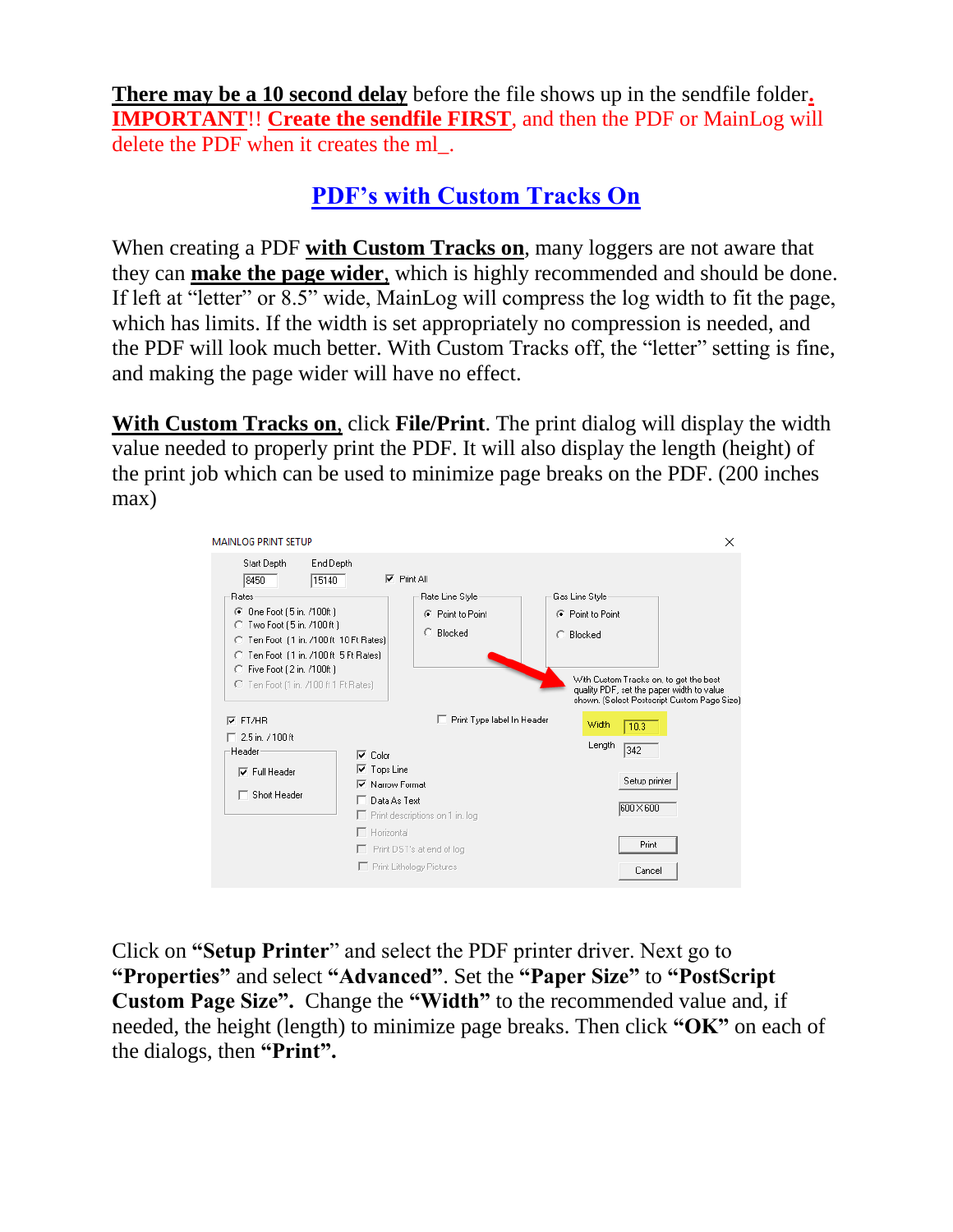**There may be a 10 second delay** before the file shows up in the sendfile folder**. IMPORTANT**!! **Create the sendfile FIRST**, and then the PDF or MainLog will delete the PDF when it creates the ml\_.

## **PDF's with Custom Tracks On**

When creating a PDF **with Custom Tracks on**, many loggers are not aware that they can **make the page wider**, which is highly recommended and should be done. If left at "letter" or 8.5" wide, MainLog will compress the log width to fit the page, which has limits. If the width is set appropriately no compression is needed, and the PDF will look much better. With Custom Tracks off, the "letter" setting is fine, and making the page wider will have no effect.

**With Custom Tracks on**, click **File/Print**. The print dialog will display the width value needed to properly print the PDF. It will also display the length (height) of the print job which can be used to minimize page breaks on the PDF. (200 inches max)

| <b>MAINLOG PRINT SETUP</b>                                                                                                                                           |                                                                                                 |                                                                        |                                                 |                                                                                             | $\times$                                    |
|----------------------------------------------------------------------------------------------------------------------------------------------------------------------|-------------------------------------------------------------------------------------------------|------------------------------------------------------------------------|-------------------------------------------------|---------------------------------------------------------------------------------------------|---------------------------------------------|
| Start Depth<br>End Depth<br>15140<br>8450<br><b>Rates</b><br>One Foot (5 in. /100ft)<br>G<br>Two Foot (5 in. /100 ft)<br>O<br>C Ten Foot [1 in. /100 ft 10 Ft Rates] |                                                                                                 | $\nabla$ Print All<br>Rate Line Style<br>C Point to Point<br>C Blocked | Gas Line Style<br>C Point to Point<br>C Blocked |                                                                                             |                                             |
| C Ten Foot (1 in. /100 ft 5 Ft Rates)<br>C Five Foot (2 in. /100ft)<br>C Ten Foot (1 in, /100 ft 1 Ft Rates)<br>FT/HR<br>⊽                                           |                                                                                                 | Print Type label In Header                                             | Width                                           | With Custom Tracks on, to get the best<br>quality PDF, set the paper width to value<br>10.3 | shown. (Select Postscript Custom Page Size) |
| □ 2.5 in. 7100 ft.<br>Header<br>$\nabla$ Full Header<br>$\Box$ Short Header                                                                                          | Color<br>⊽<br><b>▽</b> Tops Line<br><b>▽</b> Narrow Format<br>Data As Text<br>$\Box$ Horizontal | $\Box$ Print descriptions on 1 in. log                                 | Length                                          | 342<br>Setup printer<br>600 × 600                                                           |                                             |
|                                                                                                                                                                      |                                                                                                 | Print DST's at end of log<br>First Lithology Pictures                  |                                                 | Print<br>Cancel                                                                             |                                             |

Click on **"Setup Printer**" and select the PDF printer driver. Next go to **"Properties"** and select **"Advanced"**. Set the **"Paper Size"** to **"PostScript Custom Page Size".** Change the **"Width"** to the recommended value and, if needed, the height (length) to minimize page breaks. Then click **"OK"** on each of the dialogs, then **"Print".**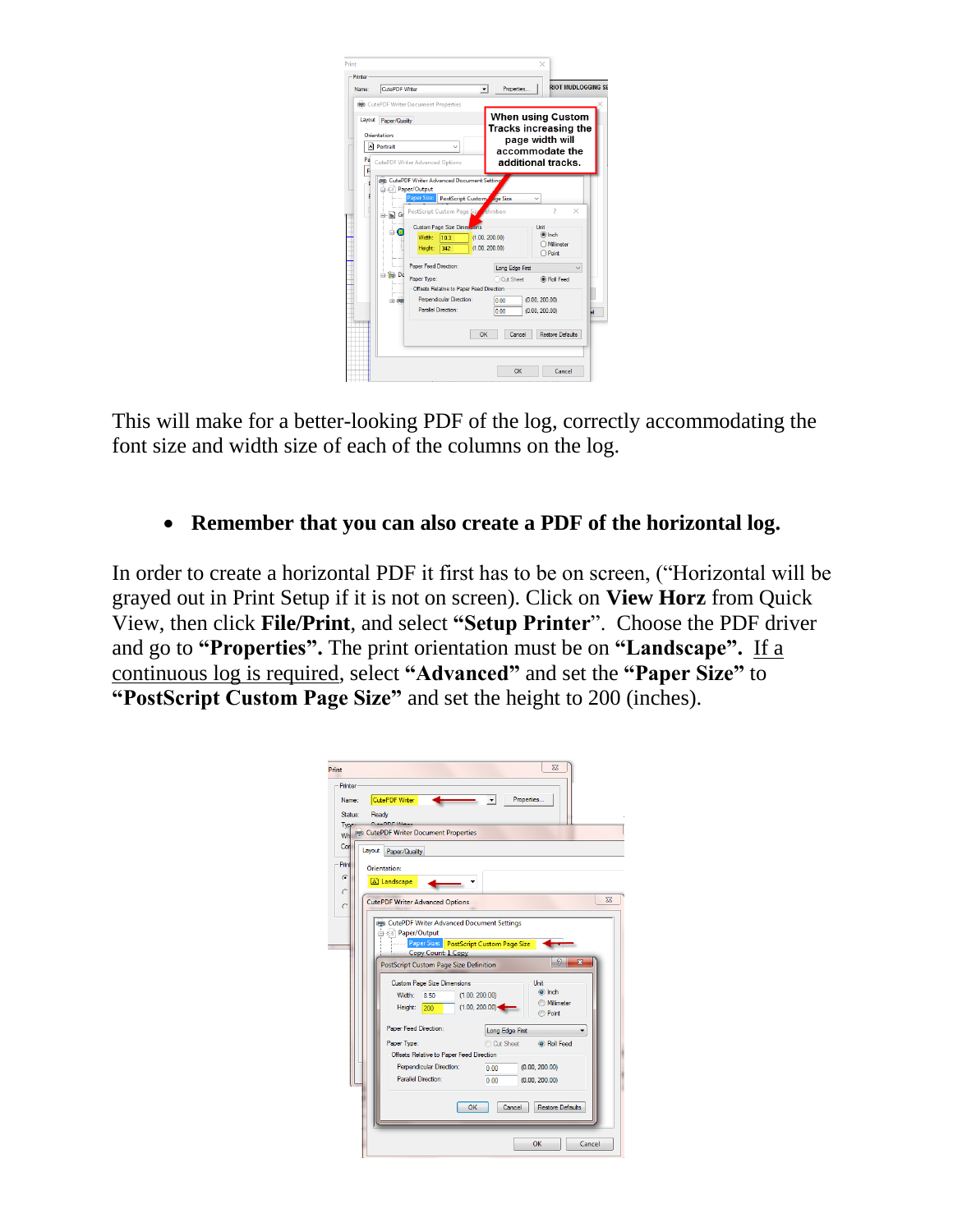| CutePDF Writer<br>Name:                                      | <b>REA</b> CutePDF Writer Document Properties                                                                                                                                                                                                                                                                                                                         | Properties<br>۰                                                                                 | <b>RIOT MUDI OGGING SE</b>                                                                                                                                     |
|--------------------------------------------------------------|-----------------------------------------------------------------------------------------------------------------------------------------------------------------------------------------------------------------------------------------------------------------------------------------------------------------------------------------------------------------------|-------------------------------------------------------------------------------------------------|----------------------------------------------------------------------------------------------------------------------------------------------------------------|
| Layout Paper/Qualty<br>Orientation:<br>A Portrait<br>Pa<br>F | <b>CutePDF Writer Advanced Options</b>                                                                                                                                                                                                                                                                                                                                |                                                                                                 | When using Custom<br>Tracks increasing the<br>page width will<br>accommodate the<br>additional tracks.                                                         |
| In Gr<br>白·隐 Do<br>$(4) - 100$                               | (es) CutePDF Writer Advanced Document Setting<br>Paper/Output<br>Paper Size: PostScript Custom de Size<br>PostScript Custom Page Size efinition<br><b>Custom Page Size Dimersions</b><br>٠<br>Width:<br>10.3<br>Height:<br>342<br>Paper Feed Direction:<br>Paper Type:<br>Offsets Relative to Paper Feed Direction<br>Perpendicular Direction:<br>Parallel Direction: | (1.00.200.00)<br>(1.00, 200.00)<br>Long Edge First<br>Cut Sheet<br>0.00<br>0.00<br>OK<br>Cancel | 7<br>$\times$<br>Unit<br>$\circledcirc$ Inch<br>O Milimeter<br>$\bigcap$ Point<br>(a) Roll Feed<br>(0.00, 200.00)<br>(0.00, 200.00)<br><b>Restore Defaults</b> |

This will make for a better-looking PDF of the log, correctly accommodating the font size and width size of each of the columns on the log.

## • **Remember that you can also create a PDF of the horizontal log.**

In order to create a horizontal PDF it first has to be on screen, ("Horizontal will be grayed out in Print Setup if it is not on screen). Click on **View Horz** from Quick View, then click **File/Print**, and select **"Setup Printer**". Choose the PDF driver and go to **"Properties".** The print orientation must be on **"Landscape".** If a continuous log is required, select **"Advanced"** and set the **"Paper Size"** to **"PostScript Custom Page Size"** and set the height to 200 (inches).

| Print            | $\Sigma$                                                                                                                                                                                                                                                                                                                                                                                                                                                                                                                                                                                                                |
|------------------|-------------------------------------------------------------------------------------------------------------------------------------------------------------------------------------------------------------------------------------------------------------------------------------------------------------------------------------------------------------------------------------------------------------------------------------------------------------------------------------------------------------------------------------------------------------------------------------------------------------------------|
| Printer<br>Name: | CutePDF Writer<br>Properties                                                                                                                                                                                                                                                                                                                                                                                                                                                                                                                                                                                            |
| Status:          | Ready                                                                                                                                                                                                                                                                                                                                                                                                                                                                                                                                                                                                                   |
| Type             | <b>LADDEMA</b>                                                                                                                                                                                                                                                                                                                                                                                                                                                                                                                                                                                                          |
|                  | Wh RE CutePDF Writer Document Properties                                                                                                                                                                                                                                                                                                                                                                                                                                                                                                                                                                                |
| Con<br>Layout    | Paper/Quality                                                                                                                                                                                                                                                                                                                                                                                                                                                                                                                                                                                                           |
| Print            | Orientation:                                                                                                                                                                                                                                                                                                                                                                                                                                                                                                                                                                                                            |
| $\sigma$         | A Landscape                                                                                                                                                                                                                                                                                                                                                                                                                                                                                                                                                                                                             |
| C                | $\Sigma$                                                                                                                                                                                                                                                                                                                                                                                                                                                                                                                                                                                                                |
| C                | <b>CutePDF Writer Advanced Options</b>                                                                                                                                                                                                                                                                                                                                                                                                                                                                                                                                                                                  |
|                  | <b>RED</b> CutePDF Writer Advanced Document Settings<br>Paper/Output<br>Paper Size: PostScript Custom Page Size<br>Copy Count: 1 Copy<br>$\mathcal{D}$<br>$\mathbf x$<br><b>PostScript Custom Page Size Definition</b><br><b>Custom Page Size Dimensions</b><br>Unit<br>o Inch<br>Width:<br>(1.00, 200.00)<br>8.50<br>Millimeter<br>(1.00, 200.00)<br>Height:<br>200<br>Point<br>Paper Feed Direction:<br>Long Edge First<br>Paper Type:<br>Cut Sheet<br>C Roll Feed<br>Offsets Relative to Paper Feed Direction<br>Perpendicular Direction:<br>(0.00, 200.00)<br>0.00<br>Parallel Direction:<br>0.00<br>(0.00, 200.00) |
|                  | OK<br>Cancel<br><b>Restore Defaults</b>                                                                                                                                                                                                                                                                                                                                                                                                                                                                                                                                                                                 |
|                  |                                                                                                                                                                                                                                                                                                                                                                                                                                                                                                                                                                                                                         |
|                  | OK<br>Cancel                                                                                                                                                                                                                                                                                                                                                                                                                                                                                                                                                                                                            |